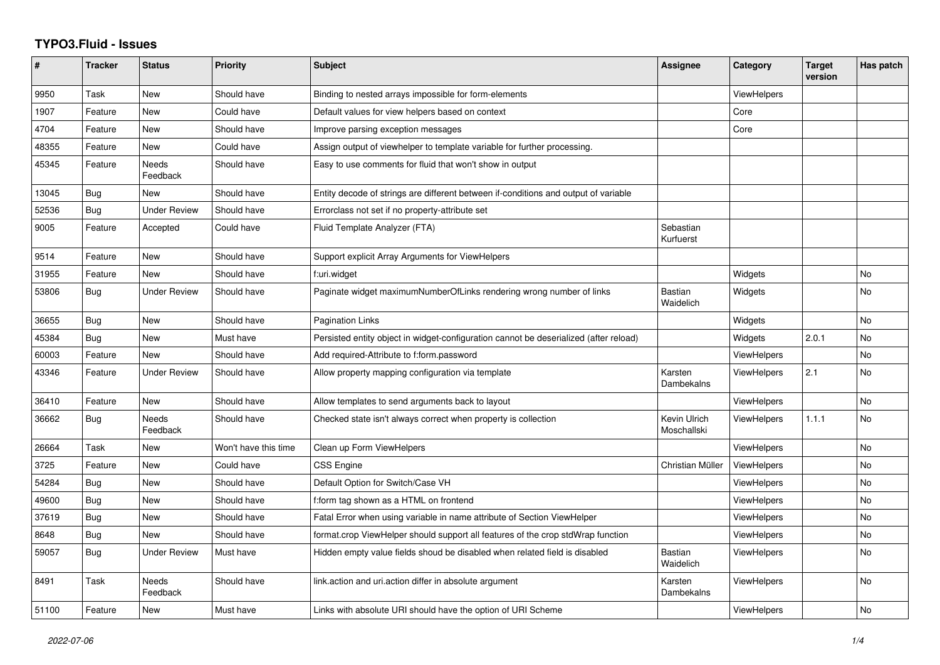## **TYPO3.Fluid - Issues**

| #     | <b>Tracker</b> | <b>Status</b>       | <b>Priority</b>      | <b>Subject</b>                                                                        | Assignee                    | Category           | <b>Target</b><br>version | Has patch      |
|-------|----------------|---------------------|----------------------|---------------------------------------------------------------------------------------|-----------------------------|--------------------|--------------------------|----------------|
| 9950  | Task           | New                 | Should have          | Binding to nested arrays impossible for form-elements                                 |                             | <b>ViewHelpers</b> |                          |                |
| 1907  | Feature        | New                 | Could have           | Default values for view helpers based on context                                      |                             | Core               |                          |                |
| 4704  | Feature        | New                 | Should have          | Improve parsing exception messages                                                    |                             | Core               |                          |                |
| 48355 | Feature        | New                 | Could have           | Assign output of viewhelper to template variable for further processing.              |                             |                    |                          |                |
| 45345 | Feature        | Needs<br>Feedback   | Should have          | Easy to use comments for fluid that won't show in output                              |                             |                    |                          |                |
| 13045 | <b>Bug</b>     | New                 | Should have          | Entity decode of strings are different between if-conditions and output of variable   |                             |                    |                          |                |
| 52536 | Bug            | Under Review        | Should have          | Errorclass not set if no property-attribute set                                       |                             |                    |                          |                |
| 9005  | Feature        | Accepted            | Could have           | Fluid Template Analyzer (FTA)                                                         | Sebastian<br>Kurfuerst      |                    |                          |                |
| 9514  | Feature        | <b>New</b>          | Should have          | Support explicit Array Arguments for ViewHelpers                                      |                             |                    |                          |                |
| 31955 | Feature        | <b>New</b>          | Should have          | f:uri.widget                                                                          |                             | Widgets            |                          | <b>No</b>      |
| 53806 | <b>Bug</b>     | <b>Under Review</b> | Should have          | Paginate widget maximumNumberOfLinks rendering wrong number of links                  | Bastian<br>Waidelich        | Widgets            |                          | <b>No</b>      |
| 36655 | <b>Bug</b>     | New                 | Should have          | <b>Pagination Links</b>                                                               |                             | Widgets            |                          | <b>No</b>      |
| 45384 | <b>Bug</b>     | <b>New</b>          | Must have            | Persisted entity object in widget-configuration cannot be deserialized (after reload) |                             | Widgets            | 2.0.1                    | <b>No</b>      |
| 60003 | Feature        | <b>New</b>          | Should have          | Add required-Attribute to f:form.password                                             |                             | ViewHelpers        |                          | N <sub>o</sub> |
| 43346 | Feature        | <b>Under Review</b> | Should have          | Allow property mapping configuration via template                                     | Karsten<br>Dambekalns       | <b>ViewHelpers</b> | 2.1                      | No             |
| 36410 | Feature        | <b>New</b>          | Should have          | Allow templates to send arguments back to layout                                      |                             | ViewHelpers        |                          | <b>No</b>      |
| 36662 | Bug            | Needs<br>Feedback   | Should have          | Checked state isn't always correct when property is collection                        | Kevin Ulrich<br>Moschallski | <b>ViewHelpers</b> | 1.1.1                    | <b>No</b>      |
| 26664 | Task           | New                 | Won't have this time | Clean up Form ViewHelpers                                                             |                             | <b>ViewHelpers</b> |                          | <b>No</b>      |
| 3725  | Feature        | New                 | Could have           | <b>CSS Engine</b>                                                                     | Christian Müller            | ViewHelpers        |                          | <b>No</b>      |
| 54284 | <b>Bug</b>     | New                 | Should have          | Default Option for Switch/Case VH                                                     |                             | <b>ViewHelpers</b> |                          | No             |
| 49600 | <b>Bug</b>     | <b>New</b>          | Should have          | f:form tag shown as a HTML on frontend                                                |                             | <b>ViewHelpers</b> |                          | <b>No</b>      |
| 37619 | Bug            | New                 | Should have          | Fatal Error when using variable in name attribute of Section ViewHelper               |                             | <b>ViewHelpers</b> |                          | No             |
| 8648  | <b>Bug</b>     | <b>New</b>          | Should have          | format.crop ViewHelper should support all features of the crop stdWrap function       |                             | <b>ViewHelpers</b> |                          | No             |
| 59057 | <b>Bug</b>     | <b>Under Review</b> | Must have            | Hidden empty value fields shoud be disabled when related field is disabled            | Bastian<br>Waidelich        | <b>ViewHelpers</b> |                          | N <sub>o</sub> |
| 8491  | Task           | Needs<br>Feedback   | Should have          | link.action and uri.action differ in absolute argument                                | Karsten<br>Dambekalns       | <b>ViewHelpers</b> |                          | <b>No</b>      |
| 51100 | Feature        | New                 | Must have            | Links with absolute URI should have the option of URI Scheme                          |                             | <b>ViewHelpers</b> |                          | <b>No</b>      |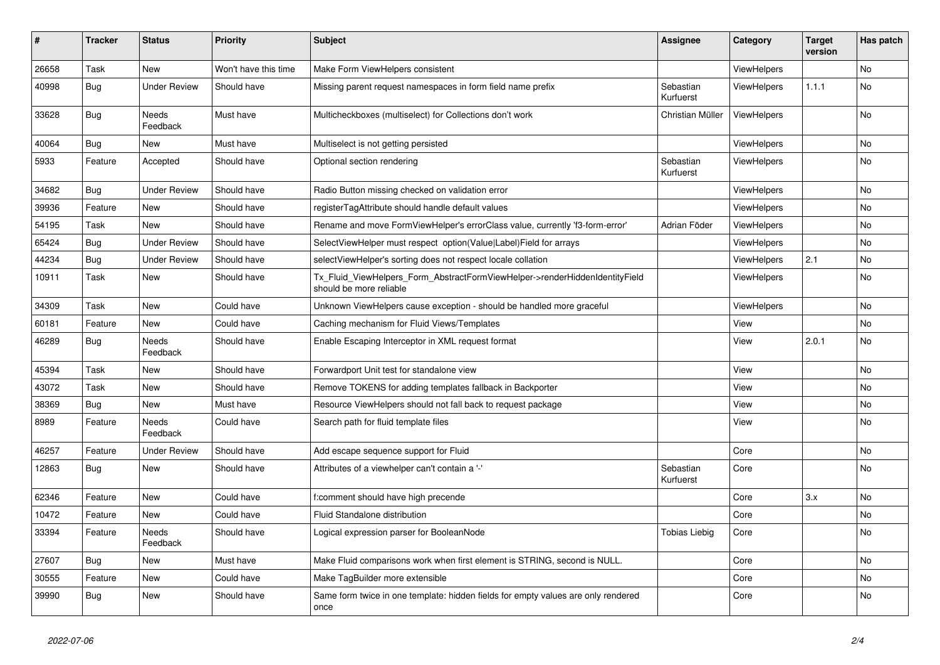| ∦     | <b>Tracker</b> | <b>Status</b>            | <b>Priority</b>      | <b>Subject</b>                                                                                         | Assignee               | Category           | <b>Target</b><br>version | Has patch |
|-------|----------------|--------------------------|----------------------|--------------------------------------------------------------------------------------------------------|------------------------|--------------------|--------------------------|-----------|
| 26658 | Task           | <b>New</b>               | Won't have this time | Make Form ViewHelpers consistent                                                                       |                        | <b>ViewHelpers</b> |                          | <b>No</b> |
| 40998 | <b>Bug</b>     | <b>Under Review</b>      | Should have          | Missing parent request namespaces in form field name prefix                                            | Sebastian<br>Kurfuerst | <b>ViewHelpers</b> | 1.1.1                    | No        |
| 33628 | Bug            | <b>Needs</b><br>Feedback | Must have            | Multicheckboxes (multiselect) for Collections don't work                                               | Christian Müller       | <b>ViewHelpers</b> |                          | No        |
| 40064 | <b>Bug</b>     | <b>New</b>               | Must have            | Multiselect is not getting persisted                                                                   |                        | <b>ViewHelpers</b> |                          | No        |
| 5933  | Feature        | Accepted                 | Should have          | Optional section rendering                                                                             | Sebastian<br>Kurfuerst | <b>ViewHelpers</b> |                          | <b>No</b> |
| 34682 | <b>Bug</b>     | <b>Under Review</b>      | Should have          | Radio Button missing checked on validation error                                                       |                        | <b>ViewHelpers</b> |                          | No        |
| 39936 | Feature        | New                      | Should have          | registerTagAttribute should handle default values                                                      |                        | <b>ViewHelpers</b> |                          | No        |
| 54195 | Task           | <b>New</b>               | Should have          | Rename and move FormViewHelper's errorClass value, currently 'f3-form-error'                           | Adrian Föder           | <b>ViewHelpers</b> |                          | No        |
| 65424 | Bug            | <b>Under Review</b>      | Should have          | SelectViewHelper must respect option(Value Label)Field for arrays                                      |                        | <b>ViewHelpers</b> |                          | No        |
| 44234 | Bug            | <b>Under Review</b>      | Should have          | selectViewHelper's sorting does not respect locale collation                                           |                        | <b>ViewHelpers</b> | 2.1                      | No        |
| 10911 | Task           | New                      | Should have          | Tx_Fluid_ViewHelpers_Form_AbstractFormViewHelper->renderHiddenIdentityField<br>should be more reliable |                        | <b>ViewHelpers</b> |                          | No        |
| 34309 | Task           | New                      | Could have           | Unknown ViewHelpers cause exception - should be handled more graceful                                  |                        | <b>ViewHelpers</b> |                          | No        |
| 60181 | Feature        | <b>New</b>               | Could have           | Caching mechanism for Fluid Views/Templates                                                            |                        | View               |                          | <b>No</b> |
| 46289 | <b>Bug</b>     | <b>Needs</b><br>Feedback | Should have          | Enable Escaping Interceptor in XML request format                                                      |                        | View               | 2.0.1                    | <b>No</b> |
| 45394 | Task           | <b>New</b>               | Should have          | Forwardport Unit test for standalone view                                                              |                        | View               |                          | <b>No</b> |
| 43072 | Task           | <b>New</b>               | Should have          | Remove TOKENS for adding templates fallback in Backporter                                              |                        | View               |                          | No        |
| 38369 | Bug            | <b>New</b>               | Must have            | Resource ViewHelpers should not fall back to request package                                           |                        | View               |                          | No        |
| 8989  | Feature        | <b>Needs</b><br>Feedback | Could have           | Search path for fluid template files                                                                   |                        | View               |                          | <b>No</b> |
| 46257 | Feature        | <b>Under Review</b>      | Should have          | Add escape sequence support for Fluid                                                                  |                        | Core               |                          | No        |
| 12863 | Bug            | New                      | Should have          | Attributes of a viewhelper can't contain a '-'                                                         | Sebastian<br>Kurfuerst | Core               |                          | No        |
| 62346 | Feature        | New                      | Could have           | f:comment should have high precende                                                                    |                        | Core               | 3.x                      | No        |
| 10472 | Feature        | New                      | Could have           | <b>Fluid Standalone distribution</b>                                                                   |                        | Core               |                          | No        |
| 33394 | Feature        | Needs<br>Feedback        | Should have          | Logical expression parser for BooleanNode                                                              | Tobias Liebig          | Core               |                          | No        |
| 27607 | <b>Bug</b>     | <b>New</b>               | Must have            | Make Fluid comparisons work when first element is STRING, second is NULL.                              |                        | Core               |                          | No        |
| 30555 | Feature        | <b>New</b>               | Could have           | Make TagBuilder more extensible                                                                        |                        | Core               |                          | No        |
| 39990 | Bug            | New                      | Should have          | Same form twice in one template: hidden fields for empty values are only rendered<br>once              |                        | Core               |                          | <b>No</b> |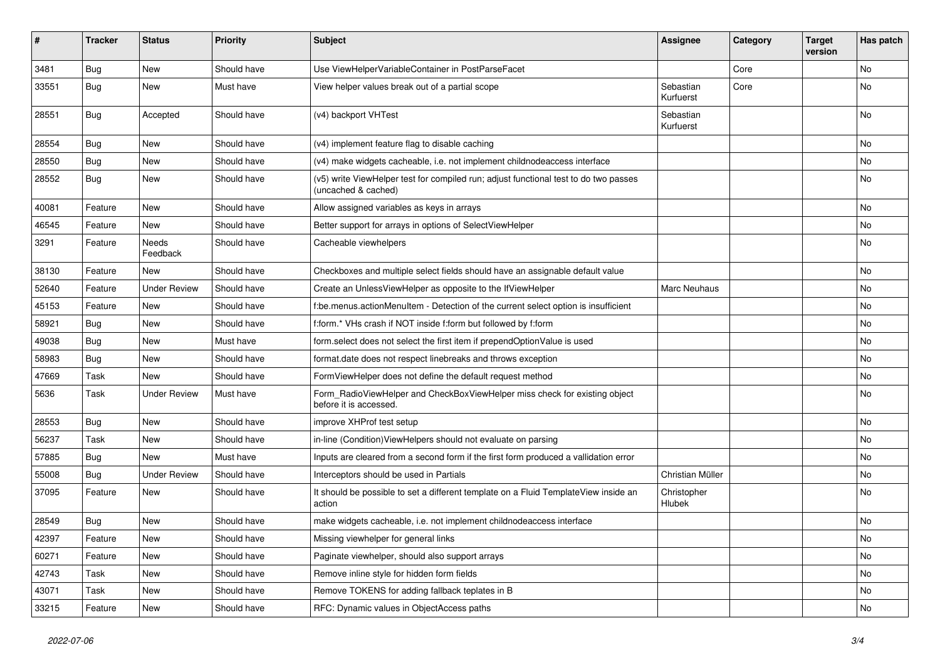| #     | <b>Tracker</b> | <b>Status</b>       | <b>Priority</b> | <b>Subject</b>                                                                                              | <b>Assignee</b>        | Category | <b>Target</b><br>version | Has patch |
|-------|----------------|---------------------|-----------------|-------------------------------------------------------------------------------------------------------------|------------------------|----------|--------------------------|-----------|
| 3481  | Bug            | New                 | Should have     | Use ViewHelperVariableContainer in PostParseFacet                                                           |                        | Core     |                          | <b>No</b> |
| 33551 | Bug            | New                 | Must have       | View helper values break out of a partial scope                                                             | Sebastian<br>Kurfuerst | Core     |                          | No        |
| 28551 | Bug            | Accepted            | Should have     | (v4) backport VHTest                                                                                        | Sebastian<br>Kurfuerst |          |                          | <b>No</b> |
| 28554 | Bug            | New                 | Should have     | (v4) implement feature flag to disable caching                                                              |                        |          |                          | No        |
| 28550 | Bug            | New                 | Should have     | (v4) make widgets cacheable, i.e. not implement childnodeaccess interface                                   |                        |          |                          | No        |
| 28552 | Bug            | New                 | Should have     | (v5) write ViewHelper test for compiled run; adjust functional test to do two passes<br>(uncached & cached) |                        |          |                          | No        |
| 40081 | Feature        | New                 | Should have     | Allow assigned variables as keys in arrays                                                                  |                        |          |                          | No        |
| 46545 | Feature        | New                 | Should have     | Better support for arrays in options of SelectViewHelper                                                    |                        |          |                          | No        |
| 3291  | Feature        | Needs<br>Feedback   | Should have     | Cacheable viewhelpers                                                                                       |                        |          |                          | <b>No</b> |
| 38130 | Feature        | New                 | Should have     | Checkboxes and multiple select fields should have an assignable default value                               |                        |          |                          | No        |
| 52640 | Feature        | <b>Under Review</b> | Should have     | Create an UnlessViewHelper as opposite to the IfViewHelper                                                  | <b>Marc Neuhaus</b>    |          |                          | No        |
| 45153 | Feature        | New                 | Should have     | f:be.menus.actionMenuItem - Detection of the current select option is insufficient                          |                        |          |                          | No        |
| 58921 | Bug            | <b>New</b>          | Should have     | f:form.* VHs crash if NOT inside f:form but followed by f:form                                              |                        |          |                          | No        |
| 49038 | Bug            | New                 | Must have       | form.select does not select the first item if prependOptionValue is used                                    |                        |          |                          | No        |
| 58983 | Bug            | New                 | Should have     | format.date does not respect linebreaks and throws exception                                                |                        |          |                          | No        |
| 47669 | Task           | New                 | Should have     | FormViewHelper does not define the default request method                                                   |                        |          |                          | No        |
| 5636  | Task           | <b>Under Review</b> | Must have       | Form_RadioViewHelper and CheckBoxViewHelper miss check for existing object<br>before it is accessed.        |                        |          |                          | <b>No</b> |
| 28553 | Bug            | New                 | Should have     | improve XHProf test setup                                                                                   |                        |          |                          | No        |
| 56237 | Task           | New                 | Should have     | in-line (Condition) View Helpers should not evaluate on parsing                                             |                        |          |                          | No        |
| 57885 | Bug            | New                 | Must have       | Inputs are cleared from a second form if the first form produced a vallidation error                        |                        |          |                          | <b>No</b> |
| 55008 | Bug            | <b>Under Review</b> | Should have     | Interceptors should be used in Partials                                                                     | Christian Müller       |          |                          | No        |
| 37095 | Feature        | New                 | Should have     | It should be possible to set a different template on a Fluid TemplateView inside an<br>action               | Christopher<br>Hlubek  |          |                          | <b>No</b> |
| 28549 | Bug            | New                 | Should have     | make widgets cacheable, i.e. not implement childnodeaccess interface                                        |                        |          |                          | <b>No</b> |
| 42397 | Feature        | New                 | Should have     | Missing viewhelper for general links                                                                        |                        |          |                          | No        |
| 60271 | Feature        | New                 | Should have     | Paginate viewhelper, should also support arrays                                                             |                        |          |                          | No        |
| 42743 | Task           | New                 | Should have     | Remove inline style for hidden form fields                                                                  |                        |          |                          | No        |
| 43071 | Task           | New                 | Should have     | Remove TOKENS for adding fallback teplates in B                                                             |                        |          |                          | No        |
| 33215 | Feature        | New                 | Should have     | RFC: Dynamic values in ObjectAccess paths                                                                   |                        |          |                          | No        |